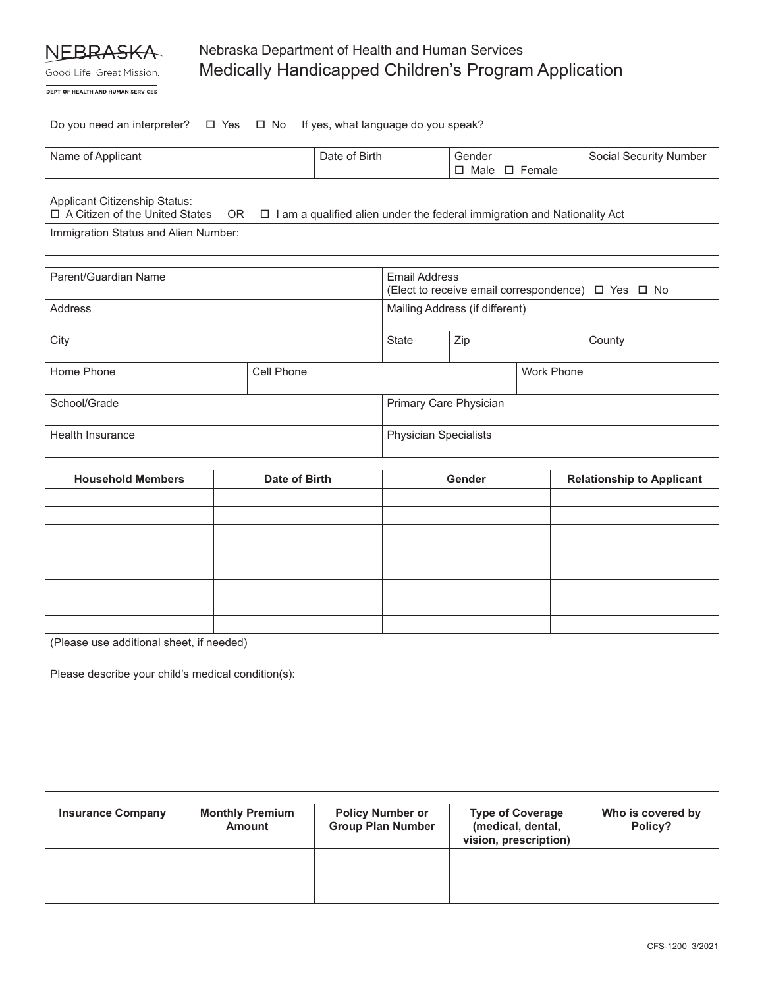

Good Life. Great Mission.

# Nebraska Department of Health and Human Services Medically Handicapped Children's Program Application

DEPT. OF HEALTH AND HUMAN SERVICES

Do you need an interpreter?  $\Box$  Yes  $\Box$  No If yes, what language do you speak?

| Name of Applicant                    |  | Date of Birth                                                                                                            | Gender                    | Social Security Number |
|--------------------------------------|--|--------------------------------------------------------------------------------------------------------------------------|---------------------------|------------------------|
|                                      |  |                                                                                                                          | $\Box$ Male $\Box$ Female |                        |
|                                      |  |                                                                                                                          |                           |                        |
|                                      |  |                                                                                                                          |                           |                        |
| Applicant Citizenship Status:        |  |                                                                                                                          |                           |                        |
|                                      |  | $\Box$ A Citizen of the United States OR $\Box$ I am a qualified alien under the federal immigration and Nationality Act |                           |                        |
| Immigration Status and Alien Number: |  |                                                                                                                          |                           |                        |

| Parent/Guardian Name |            | Email Address<br>(Elect to receive email correspondence) $\Box$ Yes $\Box$ No |     |                   |        |
|----------------------|------------|-------------------------------------------------------------------------------|-----|-------------------|--------|
| Address              |            | Mailing Address (if different)                                                |     |                   |        |
| City                 |            | <b>State</b>                                                                  | Zip |                   | County |
| Home Phone           | Cell Phone |                                                                               |     | <b>Work Phone</b> |        |
| School/Grade         |            | Primary Care Physician                                                        |     |                   |        |
| Health Insurance     |            | <b>Physician Specialists</b>                                                  |     |                   |        |

| <b>Household Members</b> | Date of Birth | Gender | <b>Relationship to Applicant</b> |  |  |
|--------------------------|---------------|--------|----------------------------------|--|--|
|                          |               |        |                                  |  |  |
|                          |               |        |                                  |  |  |
|                          |               |        |                                  |  |  |
|                          |               |        |                                  |  |  |
|                          |               |        |                                  |  |  |
|                          |               |        |                                  |  |  |
|                          |               |        |                                  |  |  |
|                          |               |        |                                  |  |  |

(Please use additional sheet, if needed)

Please describe your child's medical condition(s):

| <b>Insurance Company</b> | <b>Monthly Premium</b><br><b>Amount</b> | <b>Policy Number or</b><br><b>Group Plan Number</b> | <b>Type of Coverage</b><br>(medical, dental,<br>vision, prescription) | Who is covered by<br>Policy? |  |
|--------------------------|-----------------------------------------|-----------------------------------------------------|-----------------------------------------------------------------------|------------------------------|--|
|                          |                                         |                                                     |                                                                       |                              |  |
|                          |                                         |                                                     |                                                                       |                              |  |
|                          |                                         |                                                     |                                                                       |                              |  |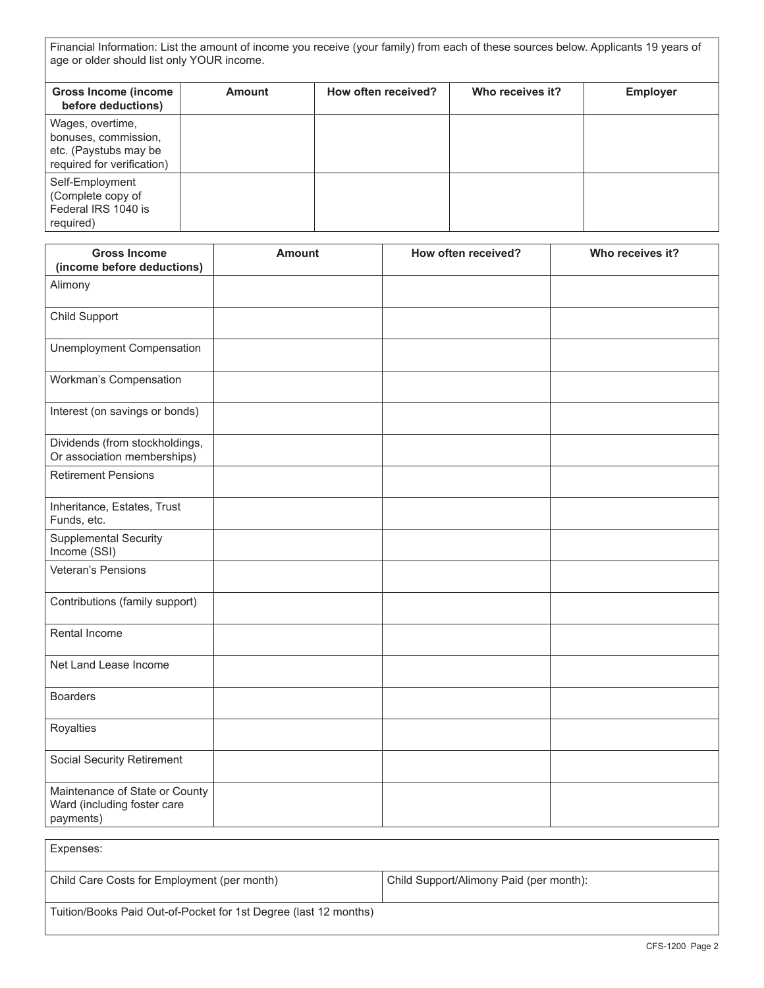Financial Information: List the amount of income you receive (your family) from each of these sources below. Applicants 19 years of age or older should list only YOUR income.

| <b>Gross Income (income</b><br>before deductions)                                               | <b>Amount</b> | How often received? | Who receives it? | <b>Employer</b> |
|-------------------------------------------------------------------------------------------------|---------------|---------------------|------------------|-----------------|
| Wages, overtime,<br>bonuses, commission,<br>etc. (Paystubs may be<br>required for verification) |               |                     |                  |                 |
| Self-Employment<br>(Complete copy of<br>Federal IRS 1040 is<br>required)                        |               |                     |                  |                 |

| <b>Gross Income</b><br>(income before deductions)                          | <b>Amount</b> | How often received? | Who receives it? |
|----------------------------------------------------------------------------|---------------|---------------------|------------------|
| Alimony                                                                    |               |                     |                  |
| Child Support                                                              |               |                     |                  |
| Unemployment Compensation                                                  |               |                     |                  |
| Workman's Compensation                                                     |               |                     |                  |
| Interest (on savings or bonds)                                             |               |                     |                  |
| Dividends (from stockholdings,<br>Or association memberships)              |               |                     |                  |
| <b>Retirement Pensions</b>                                                 |               |                     |                  |
| Inheritance, Estates, Trust<br>Funds, etc.                                 |               |                     |                  |
| <b>Supplemental Security</b><br>Income (SSI)                               |               |                     |                  |
| Veteran's Pensions                                                         |               |                     |                  |
| Contributions (family support)                                             |               |                     |                  |
| Rental Income                                                              |               |                     |                  |
| Net Land Lease Income                                                      |               |                     |                  |
| <b>Boarders</b>                                                            |               |                     |                  |
| Royalties                                                                  |               |                     |                  |
| Social Security Retirement                                                 |               |                     |                  |
| Maintenance of State or County<br>Ward (including foster care<br>payments) |               |                     |                  |

| Expenses:                                                        |                                         |
|------------------------------------------------------------------|-----------------------------------------|
| Child Care Costs for Employment (per month)                      | Child Support/Alimony Paid (per month): |
| Tuition/Books Paid Out-of-Pocket for 1st Degree (last 12 months) |                                         |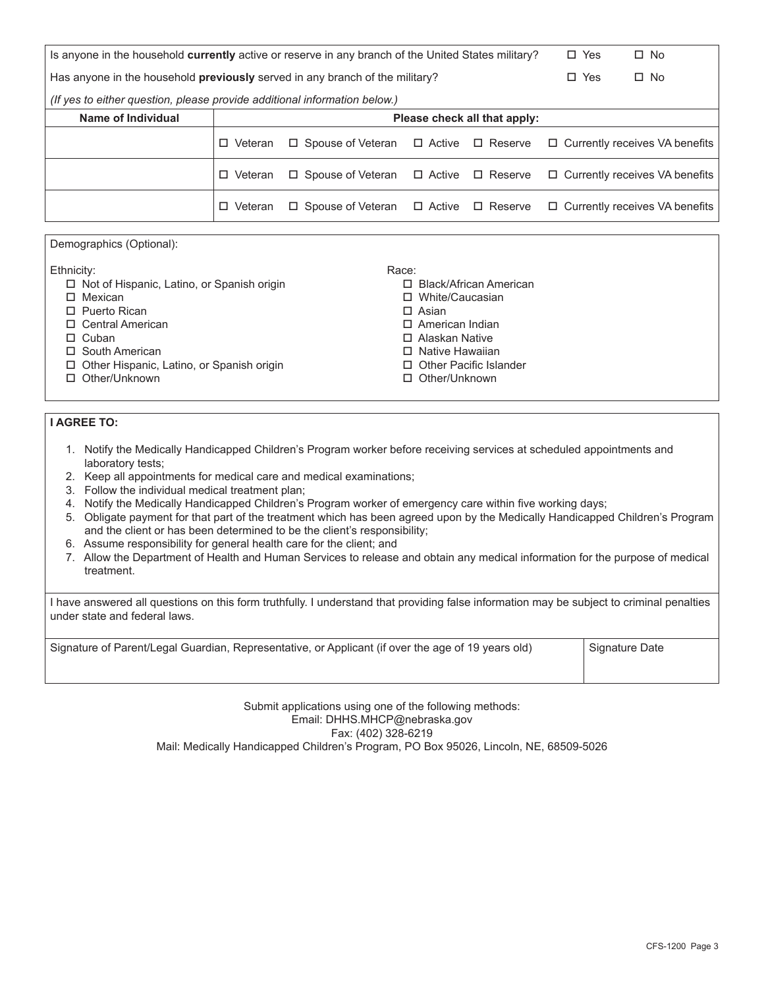| Is anyone in the household currently active or reserve in any branch of the United States military? |                              |                                                       |  | $\Box$ Yes     | $\square$ No |                                       |
|-----------------------------------------------------------------------------------------------------|------------------------------|-------------------------------------------------------|--|----------------|--------------|---------------------------------------|
| Has anyone in the household <b>previously</b> served in any branch of the military?                 |                              |                                                       |  | $\Box$ Yes     | $\Box$ No    |                                       |
| (If yes to either question, please provide additional information below.)                           |                              |                                                       |  |                |              |                                       |
| Name of Individual                                                                                  | Please check all that apply: |                                                       |  |                |              |                                       |
|                                                                                                     | $\Box$ Veteran               | $\Box$ Spouse of Veteran $\Box$ Active $\Box$ Reserve |  |                |              | $\Box$ Currently receives VA benefits |
|                                                                                                     | $\Box$ Veteran               | $\Box$ Spouse of Veteran $\Box$ Active $\Box$ Reserve |  |                |              | $\Box$ Currently receives VA benefits |
|                                                                                                     | □ Veteran                    | $\Box$ Spouse of Veteran $\Box$ Active                |  | $\Box$ Reserve |              | $\Box$ Currently receives VA benefits |

Race:

 $\square$  Asian

□ Black/African American o White/Caucasian

 $\square$  American Indian  $\square$  Alaskan Native  $\square$  Native Hawaiian □ Other Pacific Islander □ Other/Unknown

Demographics (Optional):

Ethnicity:

- $\square$  Not of Hispanic, Latino, or Spanish origin
- $\square$  Mexican
- $\square$  Puerto Rican
- □ Central American
- $\square$  Cuban
- $\square$  South American
- $\Box$  Other Hispanic, Latino, or Spanish origin
- □ Other/Unknown

### **I AGREE TO:**

- 1. Notify the Medically Handicapped Children's Program worker before receiving services at scheduled appointments and laboratory tests;
- 2. Keep all appointments for medical care and medical examinations;
- 3. Follow the individual medical treatment plan;
- 4. Notify the Medically Handicapped Children's Program worker of emergency care within five working days;
- 5. Obligate payment for that part of the treatment which has been agreed upon by the Medically Handicapped Children's Program and the client or has been determined to be the client's responsibility;
- 6. Assume responsibility for general health care for the client; and
- 7. Allow the Department of Health and Human Services to release and obtain any medical information for the purpose of medical treatment.

I have answered all questions on this form truthfully. I understand that providing false information may be subject to criminal penalties under state and federal laws.

Signature of Parent/Legal Guardian, Representative, or Applicant (if over the age of 19 years old) Signature Date

Submit applications using one of the following methods: Email: DHHS.MHCP@nebraska.gov Fax: (402) 328-6219 Mail: Medically Handicapped Children's Program, PO Box 95026, Lincoln, NE, 68509-5026